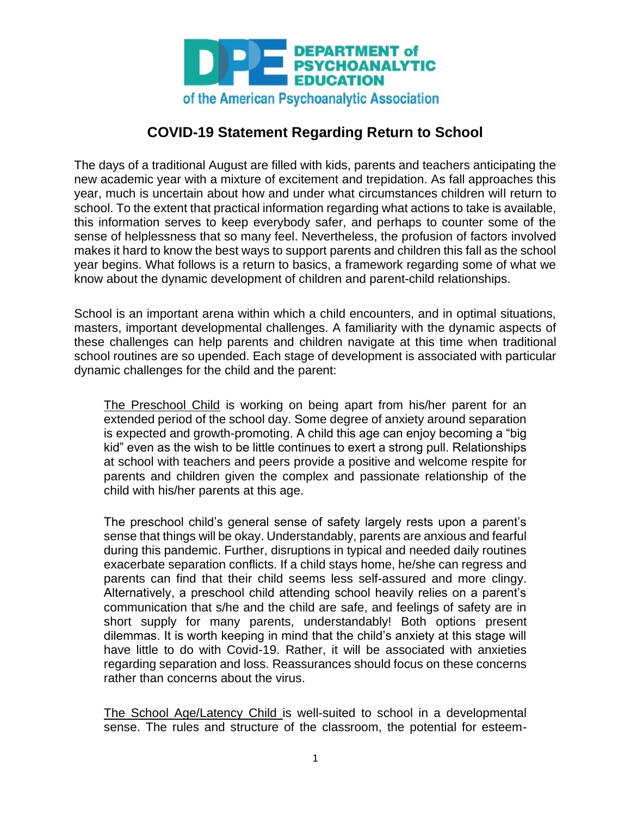

## **COVID-19 Statement Regarding Return to School**

The days of a traditional August are filled with kids, parents and teachers anticipating the new academic year with a mixture of excitement and trepidation. As fall approaches this year, much is uncertain about how and under what circumstances children will return to school. To the extent that practical information regarding what actions to take is available, this information serves to keep everybody safer, and perhaps to counter some of the sense of helplessness that so many feel. Nevertheless, the profusion of factors involved makes it hard to know the best ways to support parents and children this fall as the school year begins. What follows is a return to basics, a framework regarding some of what we know about the dynamic development of children and parent-child relationships.

School is an important arena within which a child encounters, and in optimal situations, masters, important developmental challenges. A familiarity with the dynamic aspects of these challenges can help parents and children navigate at this time when traditional school routines are so upended. Each stage of development is associated with particular dynamic challenges for the child and the parent:

The Preschool Child is working on being apart from his/her parent for an extended period of the school day. Some degree of anxiety around separation is expected and growth-promoting. A child this age can enjoy becoming a "big kid" even as the wish to be little continues to exert a strong pull. Relationships at school with teachers and peers provide a positive and welcome respite for parents and children given the complex and passionate relationship of the child with his/her parents at this age.

The preschool child's general sense of safety largely rests upon a parent's sense that things will be okay. Understandably, parents are anxious and fearful during this pandemic. Further, disruptions in typical and needed daily routines exacerbate separation conflicts. If a child stays home, he/she can regress and parents can find that their child seems less self-assured and more clingy. Alternatively, a preschool child attending school heavily relies on a parent's communication that s/he and the child are safe, and feelings of safety are in short supply for many parents, understandably! Both options present dilemmas. It is worth keeping in mind that the child's anxiety at this stage will have little to do with Covid-19. Rather, it will be associated with anxieties regarding separation and loss. Reassurances should focus on these concerns rather than concerns about the virus.

The School Age/Latency Child is well-suited to school in a developmental sense. The rules and structure of the classroom, the potential for esteem-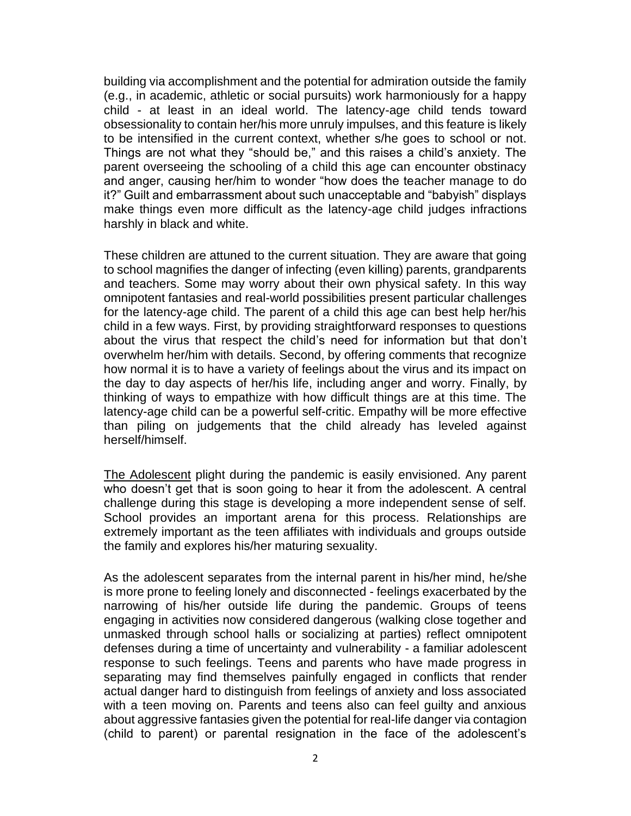building via accomplishment and the potential for admiration outside the family (e.g., in academic, athletic or social pursuits) work harmoniously for a happy child - at least in an ideal world. The latency-age child tends toward obsessionality to contain her/his more unruly impulses, and this feature is likely to be intensified in the current context, whether s/he goes to school or not. Things are not what they "should be," and this raises a child's anxiety. The parent overseeing the schooling of a child this age can encounter obstinacy and anger, causing her/him to wonder "how does the teacher manage to do it?" Guilt and embarrassment about such unacceptable and "babyish" displays make things even more difficult as the latency-age child judges infractions harshly in black and white.

These children are attuned to the current situation. They are aware that going to school magnifies the danger of infecting (even killing) parents, grandparents and teachers. Some may worry about their own physical safety. In this way omnipotent fantasies and real-world possibilities present particular challenges for the latency-age child. The parent of a child this age can best help her/his child in a few ways. First, by providing straightforward responses to questions about the virus that respect the child's need for information but that don't overwhelm her/him with details. Second, by offering comments that recognize how normal it is to have a variety of feelings about the virus and its impact on the day to day aspects of her/his life, including anger and worry. Finally, by thinking of ways to empathize with how difficult things are at this time. The latency-age child can be a powerful self-critic. Empathy will be more effective than piling on judgements that the child already has leveled against herself/himself.

The Adolescent plight during the pandemic is easily envisioned. Any parent who doesn't get that is soon going to hear it from the adolescent. A central challenge during this stage is developing a more independent sense of self. School provides an important arena for this process. Relationships are extremely important as the teen affiliates with individuals and groups outside the family and explores his/her maturing sexuality.

As the adolescent separates from the internal parent in his/her mind, he/she is more prone to feeling lonely and disconnected - feelings exacerbated by the narrowing of his/her outside life during the pandemic. Groups of teens engaging in activities now considered dangerous (walking close together and unmasked through school halls or socializing at parties) reflect omnipotent defenses during a time of uncertainty and vulnerability - a familiar adolescent response to such feelings. Teens and parents who have made progress in separating may find themselves painfully engaged in conflicts that render actual danger hard to distinguish from feelings of anxiety and loss associated with a teen moving on. Parents and teens also can feel guilty and anxious about aggressive fantasies given the potential for real-life danger via contagion (child to parent) or parental resignation in the face of the adolescent's